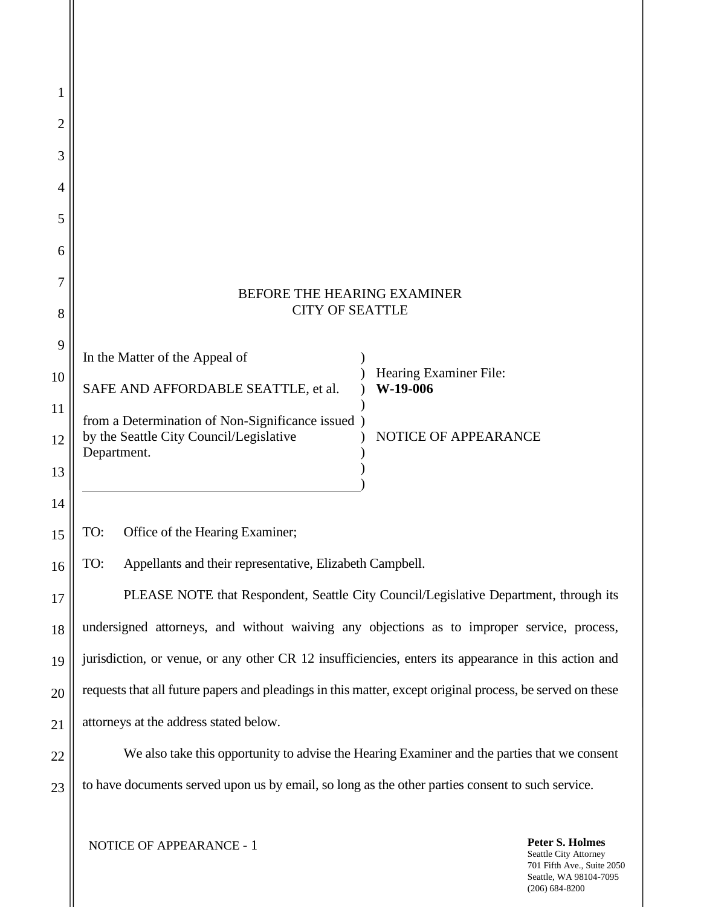| BEFORE THE HEARING EXAMINER |
|-----------------------------|
| CITY OF SEATTLE             |

)

 $\mathcal{L}$ )

 $\lambda$ ) ) )

In the Matter of the Appeal of

1

2

3

4

5

6

7

8

9

10

11

12

13

14

15

16

17

18

19

20

21

22

23

SAFE AND AFFORDABLE SEATTLE, et al. from a Determination of Non-Significance issued ) by the Seattle City Council/Legislative Department.

) Hearing Examiner File: **W-19-006**

NOTICE OF APPEARANCE

TO: Office of the Hearing Examiner;

TO: Appellants and their representative, Elizabeth Campbell.

PLEASE NOTE that Respondent, Seattle City Council/Legislative Department, through its undersigned attorneys, and without waiving any objections as to improper service, process, jurisdiction, or venue, or any other CR 12 insufficiencies, enters its appearance in this action and requests that all future papers and pleadings in this matter, except original process, be served on these attorneys at the address stated below.

We also take this opportunity to advise the Hearing Examiner and the parties that we consent to have documents served upon us by email, so long as the other parties consent to such service.

NOTICE OF APPEARANCE - 1

**Peter S. Holmes** Seattle City Attorney 701 Fifth Ave., Suite 2050 Seattle, WA 98104-7095 (206) 684-8200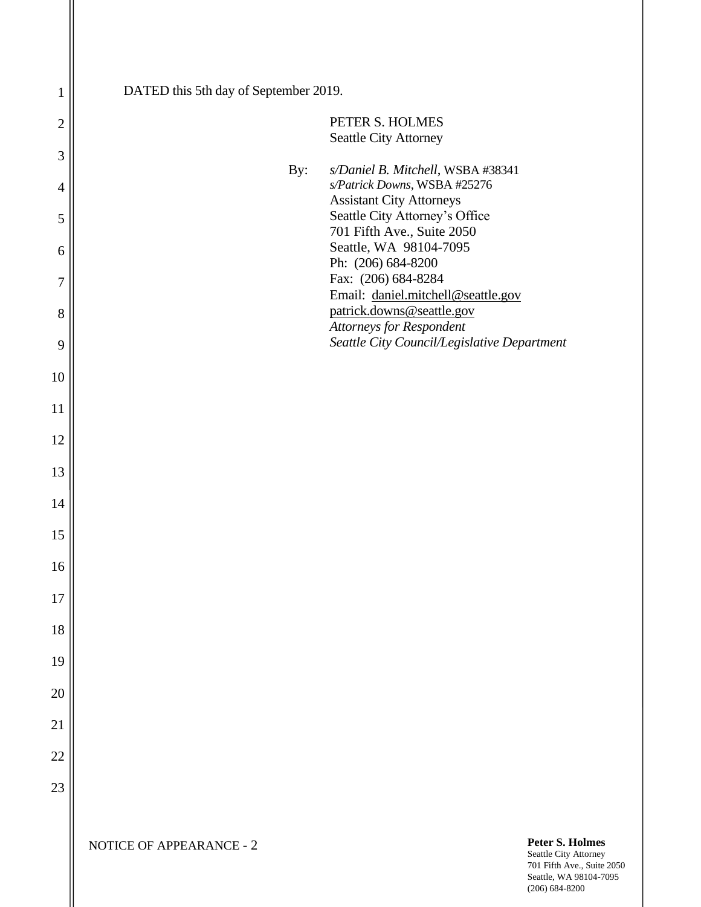DATED this 5th day of September 2019.

## PETER S. HOLMES Seattle City Attorney

By: *s/Daniel B. Mitchell*, WSBA #38341 *s/Patrick Downs*, WSBA #25276 Assistant City Attorneys Seattle City Attorney's Office 701 Fifth Ave., Suite 2050 Seattle, WA 98104-7095 Ph: (206) 684-8200 Fax: (206) 684-8284 Email: [daniel.mitchell@seattle.gov](mailto:daniel.mitchell@seattle.gov) [patrick.downs@seattle.gov](mailto:patrick.downs@seattle.gov) *Attorneys for Respondent Seattle City Council/Legislative Department*

1

2

3

4

5

6

7

8

9

10

11

12

13

14

15

16

17

18

19

20

21

**Peter S. Holmes**

Seattle City Attorney 701 Fifth Ave., Suite 2050 Seattle, WA 98104-7095 (206) 684-8200